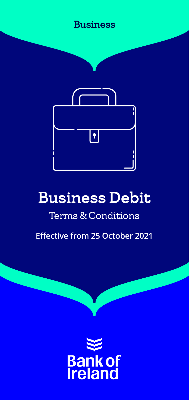



# Business Debit

## Terms & Conditions

**Effective from 25 October 2021**

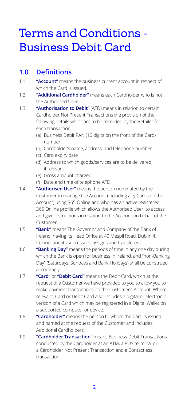## Terms and Conditions - Business Debit Card

#### **1.0 Definitions**

- 1.1 **"Account"** means the business current account in respect of which the Card is issued.
- 1.2 **"Additional Cardholder"** means each Cardholder who is not the Authorised User
- 1.3 **"Authorisation to Debit"** (ATD) means in relation to certain Cardholder Not Present Transactions the provision of the following details which are to be recorded by the Retailer for each transaction:
	- (a) Business Debit PAN (16 digits on the front of the Card) number
	- (b) Cardholder's name, address, and telephone number
	- (c) Card expiry date
	- (d) Address to which goods/services are to be delivered, if relevant
	- (e) Gross amount charged
	- (f) Date and time of telephone ATD
- 1.4 **"Authorised User"** means the person nominated by the Customer to manage the Account (including any Cards on the Account) using 365 Online and who has an active registered 365 Online profile which allows the Authorised User to access and give instructions in relation to the Account on behalf of the Customer;
- 1.5 **"Bank"** means The Governor and Company of the Bank of Ireland, having its Head Office at 40 Mespil Road, Dublin 4, Ireland, and its successors, assigns and transferees.
- 1.6 **"Banking Day"** means the periods of time in any one day during which the Bank is open for business in Ireland, and "non-Banking Day" (Saturdays, Sundays and Bank Holidays) shall be construed accordingly.
- 1.7 **"Card"** or **"Debit Card"** means the Debit Card, which at the request of a Customer we have provided to you to allow you to make payment transactions on the Customer's Account. Where relevant, Card or Debit Card also includes a digital or electronic version of a Card which may be registered in a Digital Wallet on a supported computer or device.
- 1.8 **"Cardholder"** means the person to whom the Card is issued and named at the request of the Customer and includes Additional Cardholders.
- 1.9 **"Cardholder Transaction"** means Business Debit Transactions conducted by the Cardholder at an ATM, a POS terminal or a Cardholder Not Present Transaction and a Contactless transaction.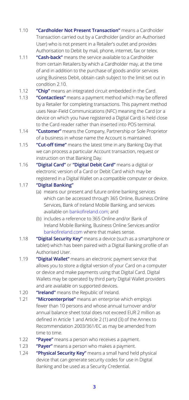- 1.10 **"Cardholder Not Present Transaction"** means a Cardholder Transaction carried out by a Cardholder (and/or an Authorised User) who is not present in a Retailer's outlet and provides Authorisation to Debit by mail, phone, internet, fax or telex.
- 1.11 **"Cash-back"** means the service available to a Cardholder from certain Retailers by which a Cardholder may, at the time of and in addition to the purchase of goods and/or services using Business Debit, obtain cash subject to the limit set out in condition 2.10.
- 1.12 **"Chip"** means an integrated circuit embedded in the Card.
- 1.13 **"Contactless"** means a payment method which may be offered by a Retailer for completing transactions. This payment method uses Near-Field Communications (NFC) meaning the Card (or a device on which you have registered a Digital Card) is held close to the Card reader rather than inserted into POS terminal.
- 1.14 **"Customer"** means the Company, Partnership or Sole Proprietor of a business in whose name the Account is maintained.
- 1.15 **"Cut-off time"** means the latest time in any Banking Day that we can process a particular Account transaction, request or instruction on that Banking Day.
- 1.16 **"Digital Card"** or **"Digital Debit Card"** means a digital or electronic version of a Card or Debit Card which may be registered in a Digital Wallet on a compatible computer or device.

#### 1.17 **"Digital Banking"**

- (a) means our present and future online banking services which can be accessed through 365 Online, Business Online Services, Bank of Ireland Mobile Banking, and services available on [bankofireland.com](http://bankofireland.com); and
- (b) includes a reference to 365 Online and/or Bank of Ireland Mobile Banking, Business Online Services and/or [bankofireland.com](http://bankofireland.com) where that makes sense.
- 1.18 **"Digital Security Key"** means a device (such as a smartphone or tablet) which has been paired with a Digital Banking profile of an Authorised User.
- 1.19 **"Digital Wallet"** means an electronic payment service that allows you to store a digital version of your Card on a computer or device and make payments using that Digital Card. Digital Wallets may be operated by third party Digital Wallet providers and are available on supported devices.
- 1.20 **"Ireland"** means the Republic of Ireland.
- 1.21 **"Microenterprise"** means an enterprise which employs fewer than 10 persons and whose annual turnover and/or annual balance sheet total does not exceed EUR 2 million as defined in Article 1 and Article 2 (1) and (3) of the Annex to Recommendation 2003/361/EC as may be amended from time to time.
- 1.22 **"Payee"** means a person who receives a payment.
- 1.23 **"Payer"** means a person who makes a payment.
- 1.24 **"Physical Security Key"** means a small hand held physical device that can generate security codes for use in Digital Banking and be used as a Security Credential.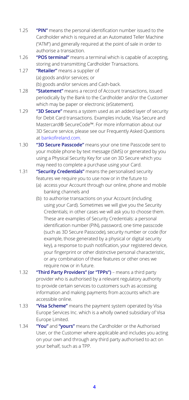- 1.25 **"PIN"** means the personal identification number issued to the Cardholder which is required at an Automated Teller Machine ("ATM") and generally required at the point of sale in order to authorise a transaction.
- 1.26 **"POS terminal"** means a terminal which is capable of accepting, storing and transmitting Cardholder Transactions.
- 1.27 **"Retailer"** means a supplier of (a) goods and/or services; or (b) goods and/or services and Cash-back.
- 1.28 **"Statement"** means a record of Account transactions, issued periodically by the Bank to the Cardholder and/or the Customer which may be paper or electronic (eStatement).
- 1.29 **"3D Secure"** means a system used as an added layer of security for Debit Card transactions. Examples include, Visa Secure and Mastercard® SecureCode™. For more information about our 3D Secure service, please see our Frequently Asked Questions at [bankofireland.com](http://bankofireland.com).
- 1.30 **"3D Secure Passcode"** means your one time Passcode sent to your mobile phone by text message (SMS) or generated by you using a Physical Security Key for use on 3D Secure which you may need to complete a purchase using your Card.
- 1.31 **"Security Credentials"** means the personalised security features we require you to use now or in the future to
	- (a) access your Account through our online, phone and mobile banking channels and
	- (b) to authorise transactions on your Account (including using your Card). Sometimes we will give you the Security Credentials; in other cases we will ask you to choose them. These are examples of Security Credentials: a personal identification number (PIN), password, one time passcode (such as 3D Secure Passcode), security number or code (for example, those generated by a physical or digital security key), a response to push notification, your registered device, your fingerprint or other distinctive personal characteristic, or any combination of these features or other ones we require now or in future.
- 1.32 **"Third Party Providers" (or "TPPs")** means a third party provider who is authorised by a relevant regulatory authority to provide certain services to customers such as accessing information and making payments from accounts which are accessible online.
- 1.33 **"Visa Scheme"** means the payment system operated by Visa Europe Services Inc. which is a wholly owned subsidiary of Visa Europe Limited.
- 1.34 **"You"** and **"yours"** means the Cardholder or the Authorised User, or the Customer where applicable and includes you acting on your own and through any third party authorised to act on your behalf, such as a TPP.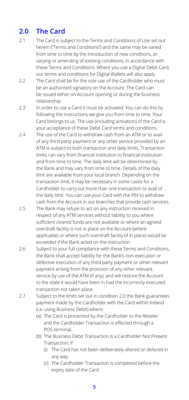### **2.0 The Card**

- 2.1 The Card is subject to the Terms and Conditions of Use set out herein ("Terms and Conditions") and the same may be varied from time to time by the introduction of new conditions, or varying or amending of existing conditions, in accordance with these Terms and Conditions. Where you use a Digital Debit Card, our terms and conditions for Digital Wallets will also apply.
- 2.2 The Card shall be for the sole use of the Cardholder who must be an authorised signatory on the Account. The Card can be issued either on Account opening or during the business relationship.
- 2.3 In order to use a Card it must be activated. You can do this by following the instructions we give you from time to time. Your Card belongs to us. The use (including activation) of the Card is your acceptance of these Debit Card terms and conditions.
- 2.4 The use of the Card to withdraw cash from an ATM or to avail of any third party payment or any other service provided by an ATM is subject to both transaction and daily limits. Transaction limits can vary from financial institution to financial institution and from time to time. The daily limit will be determined by the Bank and may vary from time to time. Details of the daily limit are available from your local branch. Depending on the transaction limit, it may be necessary in some cases for a Cardholder to carry out more than one transaction to avail of the daily limit. You can use your Card with the PIN to withdraw cash from the Account in our branches that provide cash services.
- 2.5 The Bank may refuse to act on any instruction received in respect of any ATM services without liability to you where sufficient cleared funds are not available or where an agreed overdraft facility is not in place on the Account (where applicable) or where such overdraft facility (if in place) would be exceeded if the Bank acted on the instruction.
- 2.6 Subject to your full compliance with these Terms and Conditions, the Bank shall accept liability for the Bank's non-execution or defective execution of any third party payment or other relevant payment arising from the provision of any other relevant service by use of the ATM (if any), and will restore the Account to the state it would have been in had the incorrectly executed transaction not taken place.
- 2.7 Subject to the limits set out in condition 2.0 the Bank guarantees payment made by the Cardholder with the Card within Ireland (i.e. using Business Debit) where:
	- (a) The Card is presented by the Cardholder to the Retailer and the Cardholder Transaction is effected through a POS terminal.
	- (b) The Business Debit Transaction is a Cardholder Not Present Transaction; if
		- (i) The Card has not been deliberately altered or defaced in any way.
		- (ii) The Cardholder Transaction is completed before the expiry date of the Card.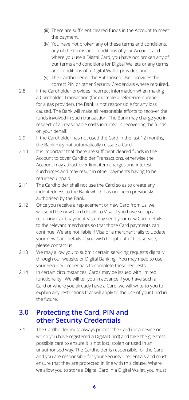- (iii) There are sufficient cleared funds in the Account to meet the payment.
- (iv) You have not broken any of these terms and conditions, any of the terms and conditions of your Account and where you use a Digital Card, you have not broken any of our terms and conditions for Digital Wallets or any terms and conditions of a Digital Wallet provider; and
- (v) The Cardholder or the Authorised User provides the correct PIN or other Security Credentials where required.
- 2.8 If the Cardholder provides incorrect information when making a Cardholder Transaction (for example a reference number for a gas provider), the Bank is not responsible for any loss caused. The Bank will make all reasonable efforts to recover the funds involved in such transaction. The Bank may charge you in respect of all reasonable costs incurred in recovering the funds on your behalf.
- 2.9 If the Cardholder has not used the Card in the last 12 months, the Bank may not automatically reissue a Card.
- 2.10 It is important that there are sufficient cleared funds in the Account to cover Cardholder Transactions, otherwise the Account may attract over limit item charges and interest surcharges and may result in other payments having to be returned unpaid.
- 2.11 The Cardholder shall not use the Card so as to create any indebtedness to the Bank which has not been previously authorised by the Bank.
- 2.12 Once you receive a replacement or new Card from us, we will send the new Card details to Visa. If you have set up a recurring Card payment Visa may send your new Card details to the relevant merchants so that those Card payments can continue. We are not liable if Visa or a merchant fails to update your new Card details. If you wish to opt out of this service, please contact us.
- 2.13 We may allow you to submit certain servicing requests digitally through our website or Digital Banking. You may need to use your Security Credentials to complete these requests.
- 2.14 In certain circumstances, Cards may be issued with limited functionality. We will tell you in advance if you have such a Card or where you already have a Card, we will write to you to explain any restrictions that will apply to the use of your Card in the future.

#### **3.0 Protecting the Card, PIN and other Security Credentials**

3.1 The Cardholder must always protect the Card (or a device on which you have registered a Digital Card) and take the greatest possible care to ensure it is not lost, stolen or used in an unauthorised way. The Cardholder is responsible for the Card and you are responsible for your Security Credentials and must ensure that they are protected in line with this clause. Where we allow you to store a Digital Card in a Digital Wallet, you must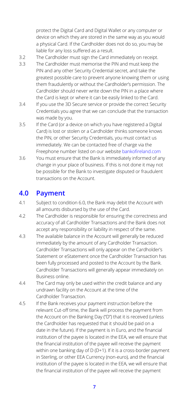protect the Digital Card and Digital Wallet or any computer or device on which they are stored in the same way as you would a physical Card. If the Cardholder does not do so, you may be liable for any loss suffered as a result.

- 3.2 The Cardholder must sign the Card immediately on receipt.
- 3.3 The Cardholder must memorise the PIN and must keep the PIN and any other Security Credential secret, and take the greatest possible care to prevent anyone knowing them or using them fraudulently or without the Cardholder's permission. The Cardholder should never write down the PIN in a place where the Card is kept or where it can be easily linked to the Card.
- 3.4 If you use the 3D Secure service or provide the correct Security Credentials you agree that we can conclude that the transaction was made by you.
- 3.5 If the Card (or a device on which you have registered a Digital Card) is lost or stolen or a Cardholder thinks someone knows the PIN, or other Security Credentials, you must contact us immediately. We can be contacted free of charge via the Freephone number listed on our website [bankofireland.com](http://bankofireland.com)
- 3.6 You must ensure that the Bank is immediately informed of any change in your place of business. If this is not done it may not be possible for the Bank to investigate disputed or fraudulent transactions on the Account.

#### **4.0 Payment**

- 4.1 Subject to condition 6.0, the Bank may debit the Account with all amounts disbursed by the use of the Card.
- 4.2 The Cardholder is responsible for ensuring the correctness and accuracy of all Cardholder Transactions and the Bank does not accept any responsibility or liability in respect of the same.
- 4.3 The available balance in the Account will generally be reduced immediately by the amount of any Cardholder Transaction. Cardholder Transactions will only appear on the Cardholder's Statement or eStatement once the Cardholder Transaction has been fully processed and posted to the Account by the Bank. Cardholder Transactions will generally appear immediately on Business online.
- 4.4 The Card may only be used within the credit balance and any undrawn facility on the Account at the time of the Cardholder Transaction.
- 4.5 If the Bank receives your payment instruction before the relevant Cut-off time, the Bank will process the payment from the Account on the Banking Day ("D") that it is received (unless the Cardholder has requested that it should be paid on a date in the future). If the payment is in Euro, and the financial institution of the payee is located in the EEA, we will ensure that the financial institution of the payee will receive the payment within one banking day of D (D+1). If it is a cross-border payment in Sterling, or other EEA Currency (non-euro), and the financial institution of the payee is located in the EEA, we will ensure that the financial institution of the payee will receive the payment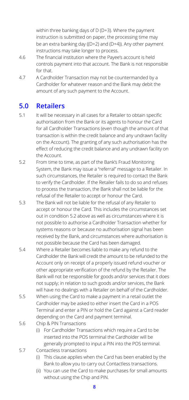within three banking days of D (D+3). Where the payment instruction is submitted on paper, the processing time may be an extra banking day ((D+2) and (D+4)). Any other payment instructions may take longer to process.

- 4.6 The financial institution where the Payee's account is held controls payment into that account. The Bank is not responsible for that.
- 4.7 A Cardholder Transaction may not be countermanded by a Cardholder for whatever reason and the Bank may debit the amount of any such payment to the Account.

#### **5.0 Retailers**

- 5.1 It will be necessary in all cases for a Retailer to obtain specific authorisation from the Bank or its agents to honour the Card for all Cardholder Transactions (even though the amount of that transaction is within the credit balance and any undrawn facility on the Account). The granting of any such authorisation has the effect of reducing the credit balance and any undrawn facility on the Account.
- 5.2 From time to time, as part of the Bank's Fraud Monitoring System, the Bank may issue a "referral" message to a Retailer. In such circumstances, the Retailer is required to contact the Bank to verify the Cardholder. If the Retailer fails to do so and refuses to process the transaction, the Bank shall not be liable for the refusal of the Retailer to accept or honour the Card.
- 5.3 The Bank will not be liable for the refusal of any Retailer to accept or honour the Card. This includes the circumstances set out in condition 5.2 above as well as circumstances where it is not possible to authorise a Cardholder Transaction whether for systems reasons or because no authorisation signal has been received by the Bank, and circumstances where authorisation is not possible because the Card has been damaged.
- 5.4 Where a Retailer becomes liable to make any refund to the Cardholder the Bank will credit the amount to be refunded to the Account only on receipt of a properly issued refund voucher or other appropriate verification of the refund by the Retailer. The Bank will not be responsible for goods and/or services that it does not supply; in relation to such goods and/or services, the Bank will have no dealings with a Retailer on behalf of the Cardholder.
- 5.5 When using the Card to make a payment in a retail outlet the Cardholder may be asked to either insert the Card in a POS Terminal and enter a PIN or hold the Card against a Card reader depending on the Card and payment terminal.
- 5.6 Chip & PIN Transactions
	- (i) For Cardholder Transactions which require a Card to be inserted into the POS terminal the Cardholder will be generally prompted to input a PIN into the POS terminal.
- 5.7 Contactless transactions
	- (i) This clause applies when the Card has been enabled by the Bank to allow you to carry out Contactless transactions.
	- (ii) You can use the Card to make purchases for small amounts without using the Chip and PIN.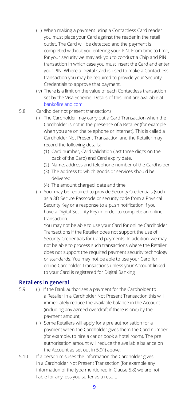- (iii) When making a payment using a Contactless Card reader you must place your Card against the reader in the retail outlet. The Card will be detected and the payment is completed without you entering your PIN. From time to time, for your security we may ask you to conduct a Chip and PIN transaction in which case you must insert the Card and enter your PIN. Where a Digital Card is used to make a Contactless transaction you may be required to provide your Security Credentials to approve that payment.
- (iv) There is a limit on the value of each Contactless transaction set by the Visa Scheme. Details of this limit are available at [bankofireland.com](http://bankofireland.com).
- 5.8 Cardholder not present transactions
	- (i) The Cardholder may carry out a Card Transaction when the Cardholder is not in the presence of a Retailer (for example when you are on the telephone or internet). This is called a Cardholder Not Present Transaction and the Retailer may record the following details:
		- (1) Card number, Card validation (last three digits on the back of the Card) and Card expiry date.
		- (2) Name, address and telephone number of the Cardholder
		- (3) The address to which goods or services should be delivered.
		- (4) The amount charged, date and time.
	- (ii) You may be required to provide Security Credentials (such as a 3D Secure Passcode or security code from a Physical Security Key or a response to a push notification if you have a Digital Security Key) in order to complete an online transaction.

You may not be able to use your Card for online Cardholder Transactions if the Retailer does not support the use of Security Credentials for Card payments. In addition, we may not be able to process such transactions where the Retailer does not support the required payment security technology or standards. You may not be able to use your Card for online Cardholder Transactions unless your Account linked to your Card is registered for Digital Banking

#### **Retailers in general**

- 5.9 (i) If the Bank authorises a payment for the Cardholder to a Retailer in a Cardholder Not Present Transaction this will immediately reduce the available balance in the Account (including any agreed overdraft if there is one) by the payment amount,
	- (ii) Some Retailers will apply for a pre authorisation for a payment when the Cardholder gives them the Card number (for example, to hire a car or book a hotel room). The pre authorisation amount will reduce the available balance on the Account as set out in 5.9(i) above.
- 5.10 If a person misuses the information the Cardholder gives in a Cardholder Not Present Transaction (for example any information of the type mentioned in Clause 5.8) we are not liable for any loss you suffer as a result.

**9**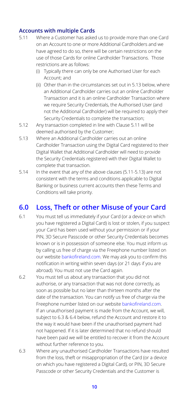#### **Accounts with multiple Cards**

- 5.11 Where a Customer has asked us to provide more than one Card on an Account to one or more Additional Cardholders and we have agreed to do so, there will be certain restrictions on the use of those Cards for online Cardholder Transactions. Those restrictions are as follows:
	- (i) Typically there can only be one Authorised User for each Account; and
	- (ii) Other than in the circumstances set out in 5.13 below, where an Additional Cardholder carries out an online Cardholder Transaction and it is an online Cardholder Transaction where we require Security Credentials, the Authorised User (and not the Additional Cardholder) will be required to apply their Security Credentials to complete the transaction;
- 5.12 Any transaction completed in line with Clause 5.11 will be deemed authorised by the Customer;
- 5.13 Where an Additional Cardholder carries out an online Cardholder Transaction using the Digital Card registered to their Digital Wallet that Additional Cardholder will need to provide the Security Credentials registered with their Digital Wallet to complete that transaction.
- 5.14 In the event that any of the above clauses (5.11-5.13) are not consistent with the terms and conditions applicable to Digital Banking or business current accounts then these Terms and Conditions will take priority.

#### **6.0 Loss, Theft or other Misuse of your Card**

- 6.1 You must tell us immediately if your Card (or a device on which you have registered a Digital Card) is lost or stolen, if you suspect your Card has been used without your permission or if your PIN, 3D Secure Passcode or other Security Credentials becomes known or is in possession of someone else. You must inform us by calling us free of charge via the Freephone number listed on our website [bankofireland.com](http://bankofireland.com). We may ask you to confirm this notification in writing within seven days (or 21 days if you are abroad). You must not use the Card again.
- 6.2 You must tell us about any transaction that you did not authorise, or any transaction that was not done correctly, as soon as possible but no later than thirteen months after the date of the transaction. You can notify us free of charge via the Freephone number listed on our website [bankofireland.com](http://bankofireland.com). If an unauthorised payment is made from the Account, we will, subject to 6.3 & 6.4 below, refund the Account and restore it to the way it would have been if the unauthorised payment had not happened. If it is later determined that no refund should have been paid we will be entitled to recover it from the Account without further reference to you.
- 6.3 Where any unauthorised Cardholder Transactions have resulted from the loss, theft or misappropriation of the Card (or a device on which you have registered a Digital Card), or PIN, 3D Secure Passcode or other Security Credentials and the Customer is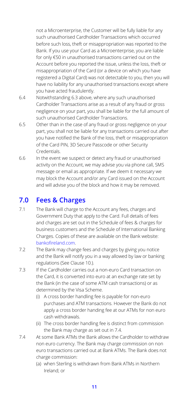not a Microenterprise, the Customer will be fully liable for any such unauthorised Cardholder Transactions which occurred before such loss, theft or misappropriation was reported to the Bank. If you use your Card as a Microenterprise, you are liable for only €50 in unauthorised transactions carried out on the Account before you reported the issue, unless the loss, theft or misappropriation of the Card (or a device on which you have registered a Digital Card) was not detectable to you, then you will have no liability for any unauthorised transactions except where you have acted fraudulently.

- 6.4 Notwithstanding 6.3 above, where any such unauthorised Cardholder Transactions arise as a result of any fraud or gross negligence on your part, you shall be liable for the full amount of such unauthorised Cardholder Transactions.
- 6.5 Other than in the case of any fraud or gross negligence on your part, you shall not be liable for any transactions carried out after you have notified the Bank of the loss, theft or misappropriation of the Card PIN, 3D Secure Passcode or other Security Credentials.
- 6.6 In the event we suspect or detect any fraud or unauthorised activity on the Account, we may advise you via phone call, SMS message or email as appropriate. If we deem it necessary we may block the Account and/or any Card issued on the Account and will advise you of the block and how it may be removed.

#### **7.0 Fees & Charges**

- 7.1 The Bank will charge to the Account any fees, charges and Government Duty that apply to the Card. Full details of fees and charges are set out in the Schedule of fees & charges for business customers and the Schedule of International Banking Charges. Copies of these are available on the Bank website: [bankofireland.com](http://bankofireland.com).
- 7.2 The Bank may change fees and charges by giving you notice and the Bank will notify you in a way allowed by law or banking regulations (See Clause 10.).
- 7.3 If the Cardholder carries out a non-euro Card transaction on the Card, it is converted into euro at an exchange rate set by the Bank (in the case of some ATM cash transactions) or as determined by the Visa Scheme.
	- (i) A cross border handling fee is payable for non-euro purchases and ATM transactions. However the Bank do not apply a cross border handing fee at our ATMs for non euro cash withdrawals.
	- (ii) The cross border handling fee is distinct from commission the Bank may charge as set out in 7.4.
- 7.4 At some Bank ATMs the Bank allows the Cardholder to withdraw non euro currency. The Bank may charge commission on non euro transactions carried out at Bank ATMs. The Bank does not charge commission:
	- (a) when Sterling is withdrawn from Bank ATMs in Northern Ireland; or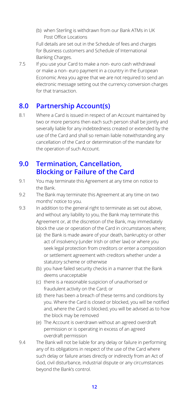(b) when Sterling is withdrawn from our Bank ATMs in UK Post Office Locations

Full details are set out in the Schedule of fees and charges for Business customers and Schedule of International Banking Charges.

7.5 If you use your Card to make a non- euro cash withdrawal or make a non- euro payment in a country in the European Economic Area you agree that we are not required to send an electronic message setting out the currency conversion charges for that transaction.

#### **8.0 Partnership Account(s)**

8.1 Where a Card is issued in respect of an Account maintained by two or more persons then each such person shall be jointly and severally liable for any indebtedness created or extended by the use of the Card and shall so remain liable notwithstanding any cancellation of the Card or determination of the mandate for the operation of such Account.

#### **9.0 Termination, Cancellation, Blocking or Failure of the Card**

- 9.1 You may terminate this Agreement at any time on notice to the Bank.
- 9.2 The Bank may terminate this Agreement at any time on two months' notice to you.
- 9.3 In addition to the general right to terminate as set out above. and without any liability to you, the Bank may terminate this Agreement or, at the discretion of the Bank, may immediately block the use or operation of the Card in circumstances where;
	- (a) the Bank is made aware of your death, bankruptcy or other act of insolvency (under Irish or other law) or where you seek legal protection from creditors or enter a composition or settlement agreement with creditors whether under a statutory scheme or otherwise
	- (b) you have failed security checks in a manner that the Bank deems unacceptable
	- (c) there is a reasonable suspicion of unauthorised or fraudulent activity on the Card; or
	- (d) there has been a breach of these terms and conditions by you. Where the Card is closed or blocked, you will be notified and, where the Card is blocked, you will be advised as to how the block may be removed
	- (e) The Account is overdrawn without an agreed overdraft permission or is operating in excess of an agreed overdraft permission
- 9.4 The Bank will not be liable for any delay or failure in performing any of its obligations in respect of the use of the Card where such delay or failure arises directly or indirectly from an Act of God, civil disturbance, industrial dispute or any circumstances beyond the Bank's control.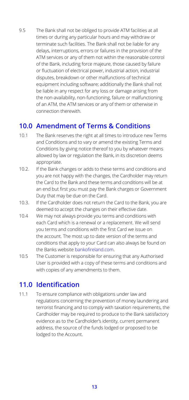9.5 The Bank shall not be obliged to provide ATM facilities at all times or during any particular hours and may withdraw or terminate such facilities. The Bank shall not be liable for any delays, interruptions, errors or failures in the provision of the ATM services or any of them not within the reasonable control of the Bank, including force majeure, those caused by failure or fluctuation of electrical power, industrial action, industrial disputes, breakdown or other malfunctions of technical equipment including software; additionally the Bank shall not be liable in any respect for any loss or damage arising from the non-availability, non-functioning, failure or malfunctioning of an ATM, the ATM services or any of them or otherwise in connection therewith.

#### **10.0 Amendment of Terms & Conditions**

- 10.1 The Bank reserves the right at all times to introduce new Terms and Conditions and to vary or amend the existing Terms and Conditions by giving notice thereof to you by whatever means allowed by law or regulation the Bank, in its discretion deems appropriate.
- 10.2. If the Bank changes or adds to these terms and conditions and you are not happy with the changes, the Cardholder may return the Card to the Bank and these terms and conditions will be at an end but first you must pay the Bank charges or Government Duty that may be due on the Card.
- 10.3. If the Cardholder does not return the Card to the Bank, you are deemed to accept the changes on their effective date.
- 10.4 We may not always provide you terms and conditions with each Card which is a renewal or a replacement. We will send you terms and conditions with the first Card we issue on the account. The most up to date version of the terms and conditions that apply to your Card can also always be found on the Banks website [bankofireland.com](http://bankofireland.com).
- 10.5 The Customer is responsible for ensuring that any Authorised User is provided with a copy of these terms and conditions and with copies of any amendments to them.

#### **11.0 Identification**

11.1 To ensure compliance with obligations under law and regulations concerning the prevention of money laundering and terrorist financing and to comply with taxation requirements, the Cardholder may be required to produce to the Bank satisfactory evidence as to the Cardholder's identity, current permanent address, the source of the funds lodged or proposed to be lodged to the Account.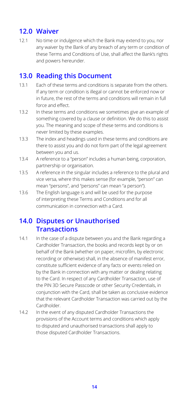#### **12.0 Waiver**

12.1 No time or indulgence which the Bank may extend to you, nor any waiver by the Bank of any breach of any term or condition of these Terms and Conditions of Use, shall affect the Bank's rights and powers hereunder.

#### **13.0 Reading this Document**

- 13.1 Each of these terms and conditions is separate from the others. If any term or condition is illegal or cannot be enforced now or in future, the rest of the terms and conditions will remain in full force and effect.
- 13.2 In these terms and conditions we sometimes give an example of something covered by a clause or definition. We do this to assist you. The meaning and scope of these terms and conditions is never limited by these examples.
- 13.3 The index and headings used in these terms and conditions are there to assist you and do not form part of the legal agreement between you and us.
- 13.4 A reference to a "person" includes a human being, corporation, partnership or organisation.
- 13.5 A reference in the singular includes a reference to the plural and vice versa, where this makes sense (for example, "person" can mean "persons", and "persons" can mean "a person").
- 13.6 The English language is and will be used for the purpose of interpreting these Terms and Conditions and for all communication in connection with a Card.

#### **14.0 Disputes or Unauthorised Transactions**

- 14.1 In the case of a dispute between you and the Bank regarding a Cardholder Transaction, the books and records kept by or on behalf of the Bank (whether on paper, microfilm, by electronic recording or otherwise) shall, in the absence of manifest error, constitute sufficient evidence of any facts or events relied on by the Bank in connection with any matter or dealing relating to the Card. In respect of any Cardholder Transaction, use of the PIN 3D Secure Passcode or other Security Credentials, in conjunction with the Card, shall be taken as conclusive evidence that the relevant Cardholder Transaction was carried out by the Cardholder.
- 14.2 In the event of any disputed Cardholder Transactions the provisions of the Account terms and conditions which apply to disputed and unauthorised transactions shall apply to those disputed Cardholder Transactions.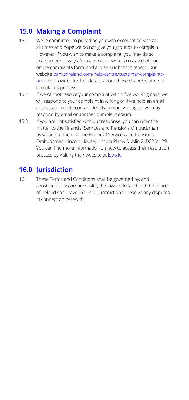## **15.0 Making a Complaint**

- 15.1 We're committed to providing you with excellent service at all times and hope we do not give you grounds to complain. However, if you wish to make a complaint, you may do so in a number of ways. You can call or write to us, avail of our online complaints form, and advise our branch teams. Our website [bankofireland.com/help-centre/customer-complaints](http://bankofireland.com/help-centre/customer-complaints-process)[process](http://bankofireland.com/help-centre/customer-complaints-process) provides further details about these channels and our complaints process.
- 15.2 If we cannot resolve your complaint within five working days, we will respond to your complaint in writing or if we hold an email address or mobile contact details for you, you agree we may respond by email or another durable medium.
- 15.3 If you are not satisfied with our response, you can refer the matter to the Financial Services and Pensions Ombudsman by writing to them at The Financial Services and Pensions Ombudsman, Lincoln House, Lincoln Place, Dublin 2, D02 VH29. You can find more information on how to access their resolution process by visiting their website at [fspo.ie.](http://fspo.ie)

### **16.0 Jurisdiction**

16.1 These Terms and Conditions shall be governed by, and construed in accordance with, the laws of Ireland and the courts of Ireland shall have exclusive jurisdiction to resolve any disputes in connection herewith.